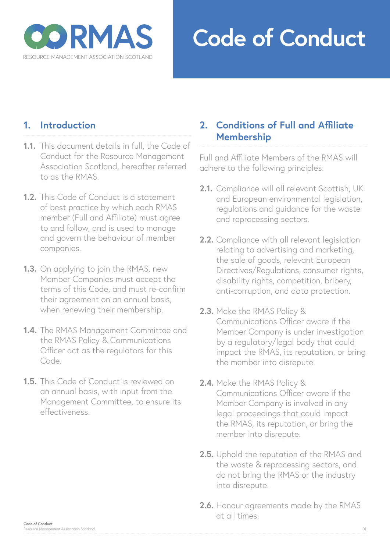

# **Code of Conduct**

#### **1. Introduction**

- **1.1.** This document details in full, the Code of Conduct for the Resource Management Association Scotland, hereafter referred to as the RMAS.
- **1.2.** This Code of Conduct is a statement of best practice by which each RMAS member (Full and Affiliate) must agree to and follow, and is used to manage and govern the behaviour of member companies.
- **1.3.** On applying to join the RMAS, new Member Companies must accept the terms of this Code, and must re-confirm their agreement on an annual basis, when renewing their membership.
- **1.4.** The RMAS Management Committee and the RMAS Policy & Communications Officer act as the regulators for this Code.
- **1.5.** This Code of Conduct is reviewed on an annual basis, with input from the Management Committee, to ensure its effectiveness.

#### **2. Conditions of Full and Affiliate Membership**

Full and Affiliate Members of the RMAS will adhere to the following principles:

- **2.1.** Compliance will all relevant Scottish, UK and European environmental legislation, regulations and guidance for the waste and reprocessing sectors.
- **2.2.** Compliance with all relevant legislation relating to advertising and marketing, the sale of goods, relevant European Directives/Regulations, consumer rights, disability rights, competition, bribery, anti-corruption, and data protection.
- **2.3.** Make the RMAS Policy & Communications Officer aware if the Member Company is under investigation by a regulatory/legal body that could impact the RMAS, its reputation, or bring the member into disrepute.
- **2.4.** Make the RMAS Policy & Communications Officer aware if the Member Company is involved in any legal proceedings that could impact the RMAS, its reputation, or bring the member into disrepute.
- **2.5.** Uphold the reputation of the RMAS and the waste & reprocessing sectors, and do not bring the RMAS or the industry into disrepute.
- **2.6.** Honour agreements made by the RMAS at all times.